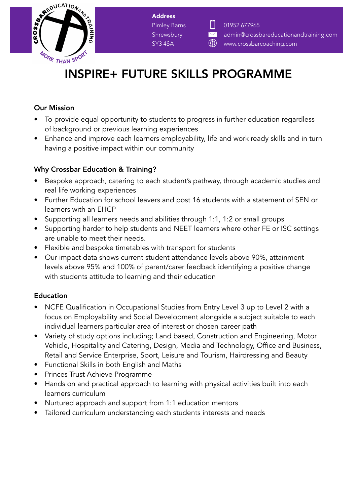

Address Pimley Barns **Shrewsbury** SY3 4SA



# INSPIRE+ FUTURE SKILLS PROGRAMME

### Our Mission

- To provide equal opportunity to students to progress in further education regardless of background or previous learning experiences
- Enhance and improve each learners employability, life and work ready skills and in turn having a positive impact within our community

# Why Crossbar Education & Training?

- Bespoke approach, catering to each student's pathway, through academic studies and real life working experiences
- Further Education for school leavers and post 16 students with a statement of SEN or learners with an EHCP
- Supporting all learners needs and abilities through 1:1, 1:2 or small groups
- Supporting harder to help students and NEET learners where other FE or ISC settings are unable to meet their needs.
- Flexible and bespoke timetables with transport for students
- Our impact data shows current student attendance levels above 90%, attainment levels above 95% and 100% of parent/carer feedback identifying a positive change with students attitude to learning and their education

## Education

- NCFE Qualification in Occupational Studies from Entry Level 3 up to Level 2 with a focus on Employability and Social Development alongside a subject suitable to each individual learners particular area of interest or chosen career path
- Variety of study options including; Land based, Construction and Engineering, Motor Vehicle, Hospitality and Catering, Design, Media and Technology, Office and Business, Retail and Service Enterprise, Sport, Leisure and Tourism, Hairdressing and Beauty
- Functional Skills in both English and Maths
- Princes Trust Achieve Programme
- Hands on and practical approach to learning with physical activities built into each learners curriculum
- Nurtured approach and support from 1:1 education mentors
- Tailored curriculum understanding each students interests and needs